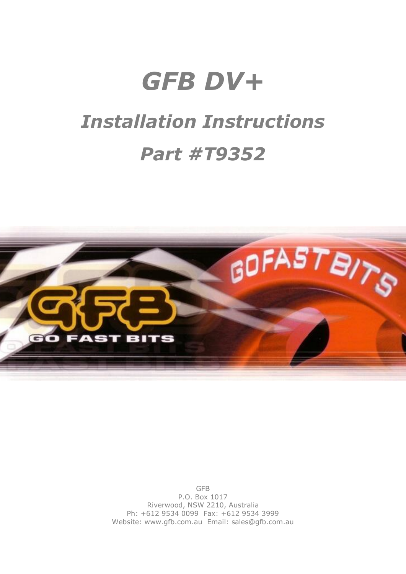# *GFB DV+ Installation Instructions Part #T9352*



GFB P.O. Box 1017 Riverwood, NSW 2210, Australia Ph: +612 9534 0099 Fax: +612 9534 3999 Website: www.gfb.com.au Email: sales@gfb.com.au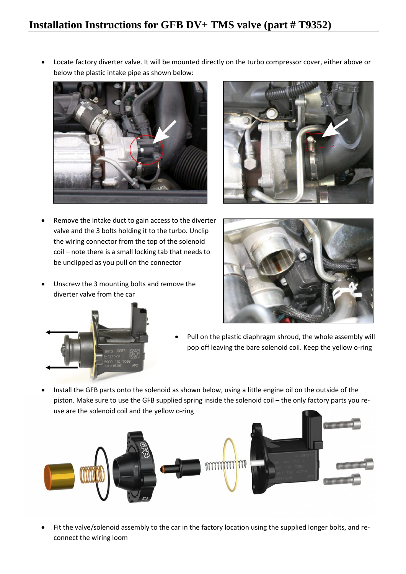## **Installation Instructions for GFB DV+ TMS valve (part # T9352)**

 Locate factory diverter valve. It will be mounted directly on the turbo compressor cover, either above or below the plastic intake pipe as shown below:





- Remove the intake duct to gain access to the diverter valve and the 3 bolts holding it to the turbo. Unclip the wiring connector from the top of the solenoid coil – note there is a small locking tab that needs to be unclipped as you pull on the connector
- Unscrew the 3 mounting bolts and remove the diverter valve from the car





- Pull on the plastic diaphragm shroud, the whole assembly will pop off leaving the bare solenoid coil. Keep the yellow o-ring
- Install the GFB parts onto the solenoid as shown below, using a little engine oil on the outside of the piston. Make sure to use the GFB supplied spring inside the solenoid coil – the only factory parts you reuse are the solenoid coil and the yellow o-ring



 Fit the valve/solenoid assembly to the car in the factory location using the supplied longer bolts, and reconnect the wiring loom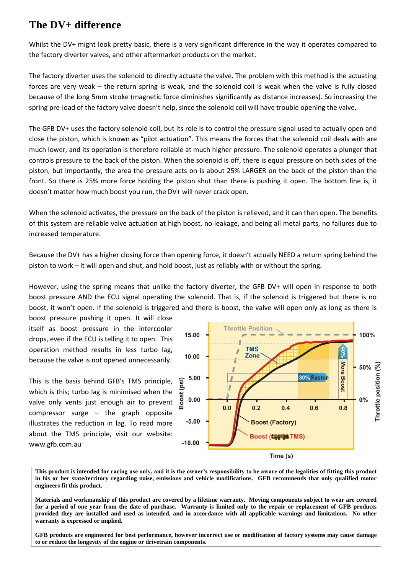## **The DV+ difference**

Whilst the DV+ might look pretty basic, there is a very significant difference in the way it operates compared to the factory diverter valves, and other aftermarket products on the market.

The factory diverter uses the solenoid to directly actuate the valve. The problem with this method is the actuating forces are very weak – the return spring is weak, and the solenoid coil is weak when the valve is fully closed because of the long 5mm stroke (magnetic force diminishes significantly as distance increases). So increasing the spring pre-load of the factory valve doesn't help, since the solenoid coil will have trouble opening the valve.

The GFB DV+ uses the factory solenoid coil, but its role is to control the pressure signal used to actually open and close the piston, which is known as "pilot actuation". This means the forces that the solenoid coil deals with are much lower, and its operation is therefore reliable at much higher pressure. The solenoid operates a plunger that controls pressure to the back of the piston. When the solenoid is off, there is equal pressure on both sides of the piston, but importantly, the area the pressure acts on is about 25% LARGER on the back of the piston than the front. So there is 25% more force holding the piston shut than there is pushing it open. The bottom line is, it doesn't matter how much boost you run, the DV+ will never crack open.

When the solenoid activates, the pressure on the back of the piston is relieved, and it can then open. The benefits of this system are reliable valve actuation at high boost, no leakage, and being all metal parts, no failures due to increased temperature.

Because the DV+ has a higher closing force than opening force, it doesn't actually NEED a return spring behind the piston to work – it will open and shut, and hold boost, just as reliably with or without the spring.

However, using the spring means that unlike the factory diverter, the GFB DV+ will open in response to both boost pressure AND the ECU signal operating the solenoid. That is, if the solenoid is triggered but there is no boost, it won't open. If the solenoid is triggered and there is boost, the valve will open only as long as there is

boost pressure pushing it open. It will close itself as boost pressure in the intercooler drops, even if the ECU is telling it to open. This operation method results in less turbo lag, because the valve is not opened unnecessarily.

This is the basis behind GFB's TMS principle, which is this; turbo lag is minimised when the valve only vents just enough air to prevent compressor surge – the graph opposite illustrates the reduction in lag. To read more about the TMS principle, visit our website: www.gfb.com.au



**This product is intended for racing use only, and it is the owner's responsibility to be aware of the legalities of fitting this product in his or her state/territory regarding noise, emissions and vehicle modifications. GFB recommends that only qualified motor engineers fit this product.**

**Materials and workmanship of this product are covered by a lifetime warranty. Moving components subject to wear are covered for a period of one year from the date of purchase. Warranty is limited only to the repair or replacement of GFB products provided they are installed and used as intended, and in accordance with all applicable warnings and limitations. No other warranty is expressed or implied.**

**GFB products are engineered for best performance, however incorrect use or modification of factory systems may cause damage to or reduce the longevity of the engine or drivetrain components.**